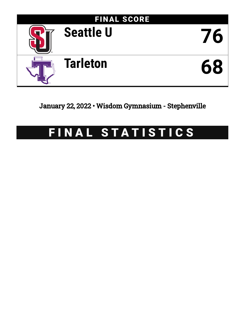

January 22, 2022 • Wisdom Gymnasium - Stephenville

# FINAL STATISTICS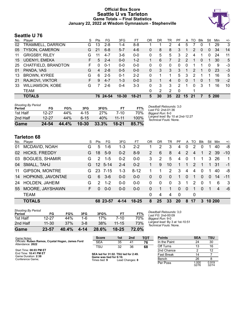### **Official Box Score Seattle U vs Tarleton Game Totals -- Final Statistics January 22, 2022 at Wisdom Gymnasium - Stephenville**



# **Seattle U 76**

| No. | Plaver                   | S  | <b>Pts</b> | FG       | 3FG       | FT        | OR | DR       | TR       | PF              | A        | TO  | <b>B</b> lk  | Stl      | Min   | $+/-$ |
|-----|--------------------------|----|------------|----------|-----------|-----------|----|----------|----------|-----------------|----------|-----|--------------|----------|-------|-------|
| 02  | <b>TRAMMELL, DARRION</b> | G  | 13         | $2 - 8$  | $1 - 4$   | $8 - 8$   |    |          | 2        | 4               | 5        |     | 0            |          | 29    | 3     |
| 05  | <b>TYSON, CAMERON</b>    | G  | 21         | $6 - 8$  | $5 - 7$   | $4-6$     | 0  | 8        | 8        | 3               |          | 2   | 0            | 0        | 34    | 14    |
| 11  | <b>GRIGSBY, RILEY</b>    | G  | 11         | 4-7      | 3-6       | $0 - 0$   | 0  | 5        | 5        | 3               | 2        | 4   |              | 0        | 24    | 11    |
| 15  | UDENYI, EMEKA            | F. | 5          | $2 - 4$  | $0 - 0$   | $1 - 2$   |    | 6        | 7        | 2               | 2        | 1   | $\mathbf{0}$ |          | 30    | 5     |
| 25  | CHATFIELD, BRANDTON      | F. | 0          | $0 - 1$  | $0 - 0$   | $0 - 0$   | 0  | $\Omega$ | $\Omega$ | $\Omega$        | $\Omega$ |     |              | $\Omega$ | 9     | -3    |
| 01  | PANDA, VAS               | G  | 4          | $2 - 8$  | $0 - 5$   | $0 - 0$   | 0  | 3        | 3        | 3               |          | 2   |              | 0        | 23    | -3    |
| 13  | <b>BROWN, KYREE</b>      | G  | 6          | $2 - 5$  | $0 - 1$   | $2 - 2$   | 0  |          |          | 5               | 3        | 2   |              |          | 16    | 5     |
| 21  | RAJKOVI, VIKTOR          | F. | 9          | $4 - 7$  | $1 - 3$   | $0 - 0$   | 3  |          | 4        | $\Omega$        | 0        |     | 0            |          | 19    | $-2$  |
| 33  | <b>WILLIAMSON, KOBE</b>  | G  | 7          | $2-6$    | $0 - 4$   | $3 - 3$   | 0  | 3        | 3        | $\mathcal{P}$   |          | 0   | 3            |          | 16    | 10    |
|     | TEAM                     |    |            |          |           |           | 0  | 2        | 2        | $\Omega$        |          |     |              |          |       |       |
|     | <b>TOTALS</b>            |    |            | 76 24-54 | $10 - 30$ | $18 - 21$ | 5  | 30       | 35       | 22 <sub>2</sub> | 15       | -21 | 7            |          | 5 200 |       |

| <b>Shooting By Period</b> |           |       |           |       |           |       |
|---------------------------|-----------|-------|-----------|-------|-----------|-------|
| Period                    | FG        | FG%   | 3FG       | 3FG%  | FТ        | FT%   |
| 1st Half                  | 12-27     | 44%   | $4 - 15$  | 27%   | 7-10      | 70%   |
| 2nd Half                  | $12 - 27$ | 44%   | $6 - 15$  | 40%   | $11 - 11$ | 100%  |
| Game                      | 24-54     | 44.4% | $10 - 30$ | 33.3% | 18-21     | 85.7% |

*Deadball Rebounds:* 3,0 *Last FG:* 2nd-01:36 *Biggest Run:* 8-0 *Largest lead:* By 10 at 2nd-12:27 *Technical Fouls:* None.

# **Tarleton 68**

| No. | Player                   | S  | Pts           | FG.             | 3FG     | FT       | OR           | DR       | TR             | PF             | A        | TO           | <b>Blk</b> | Stl      | Min            | $+/-$     |
|-----|--------------------------|----|---------------|-----------------|---------|----------|--------------|----------|----------------|----------------|----------|--------------|------------|----------|----------------|-----------|
| 01  | MCDAVID, NOAH            | G  | 5             | $1 - 6$         | 1-3     | $2 - 2$  |              | 2        | 3              | 4              | 0        | 2            | 0          |          | 40             | -8        |
| 02  | <b>HICKS, FREDDY</b>     | G. | 18            | $5-9$           | $0 - 2$ | $8 - 9$  | 2            | 6        | 8              | $\overline{4}$ | 2        | 4            |            | 2        | -39            | $-10^{-}$ |
| 03  | <b>BOGUES, SHAMIR</b>    | G  | $\mathcal{P}$ | $1 - 5$         | $0 - 2$ | $0 - 0$  | 3            | 2        | 5              | 4              | 0        |              |            | 3        | 26             | 1         |
| 04  | SMALL, TAHJ              | G. |               | $12 \quad 5-14$ | $2 - 4$ | $0 - 2$  | 1            | 9        | 10             | 1              |          | 2            |            |          | -31            | $-1$      |
| 11  | <b>GIPSON, MONTRE</b>    | G  | 23            | 7-15            | $1 - 3$ | $8 - 12$ |              | 1        | 2              | 3              | 4        | 4            | $\Omega$   |          | 40             | -8        |
| 14  | <b>HOPKINS, JAVONTAE</b> | G  | 6             | $3-6$           | $0 - 0$ | $0 - 0$  | $\mathbf{0}$ | $\Omega$ | $\overline{0}$ | 1              | $\Omega$ |              | $\Omega$   | $\Omega$ | 14             | $-11$     |
| 24  | HOLDEN, JAHEIM           | G  | $\mathcal{P}$ | $1 - 2$         | $0 - 0$ | $0 - 0$  | $\Omega$     | 0        | $\Omega$       | 3              | 1        | 2            | $\Omega$   | 1        | 6              | 3         |
| 55  | MOORE, JAYSHAWN          | F. | 0             | $0 - 0$         | $0 - 0$ | $0 - 0$  | $\Omega$     |          |                | 0              | $\Omega$ |              | $\Omega$   |          | $\overline{4}$ | -6        |
|     | <b>TEAM</b>              |    |               |                 |         |          | $\Omega$     | 4        | 4              | $\Omega$       |          | $\mathbf{0}$ |            |          |                |           |
|     | <b>TOTALS</b>            |    | 68.           | -23-57          | 4-14    | 18-25    | 8            | 25       | 33             | 20             | 8        | 17           | 3          | 10 200   |                |           |

| Game                                | 23-57     | 40.4% | 4-14    | 28.6% | $18 - 25$ | <b>72.0%</b> |
|-------------------------------------|-----------|-------|---------|-------|-----------|--------------|
| 2nd Half                            | $11 - 30$ | 37%   | $3 - 8$ | 38%   | $11 - 15$ | 73%          |
| 1st Half                            | 12-27     | 44%   | 1-6     | 17%   | 7-10      | 70%          |
| <b>Shooting By Period</b><br>Period | FG        | FG%   | 3FG     | 3FG%  | FT        | FT%          |

*Deadball Rebounds:* 3,0 *Last FG:* 2nd-00:09 *Biggest Run:* 9-0 *Largest lead:* By 3 at 1st-10:51 *Technical Fouls:* None.

| Game Notes:                                                           | <b>Score</b>                             | 1st | 2 <sub>nd</sub> | TOT | <b>Points</b>     | <b>SEA</b>     | TSU            |
|-----------------------------------------------------------------------|------------------------------------------|-----|-----------------|-----|-------------------|----------------|----------------|
| Officials: Ruben Ramos, Crystal Hogan, James Ford<br>Attendance: 2022 | <b>SEA</b>                               | 35  | 41              | 76  | In the Paint      | 24             | 30             |
|                                                                       | TSU                                      | 32  | 36              | 68  | Off Turns         | 13             | 16             |
| Start Time: 08:03 PM ET                                               |                                          |     |                 |     | 2nd Chance        |                | 12             |
| End Time: 10:41 PM ET<br>Game Duration: 2:38                          | SEA led for 31:02. TSU led for 2:49.     |     |                 |     | <b>Fast Break</b> | 14             |                |
| Conference Game;                                                      | Game was tied for 6:10.<br>Times tied: 9 |     | Lead Changes: 8 |     | Bench             | 26             |                |
|                                                                       |                                          |     |                 |     | Per Poss          | 1.000<br>32/76 | 0.919<br>32/74 |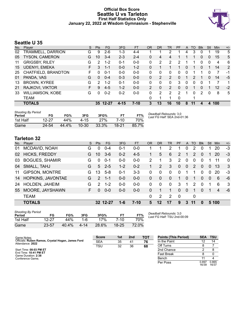#### **Official Box Score Seattle U vs Tarleton First Half Statistics Only January 22, 2022 at Wisdom Gymnasium - Stephenville**



# **Seattle U 35**

| No. | Player                  | S  | <b>Pts</b>    | <b>FG</b> | 3FG      | <b>FT</b> | <b>OR</b>     | DR | TR             | <b>PF</b>     | A | TO | <b>B</b> lk | Stl      | Min | $+/-$ |
|-----|-------------------------|----|---------------|-----------|----------|-----------|---------------|----|----------------|---------------|---|----|-------------|----------|-----|-------|
| 02  | TRAMMELL, DARRION       | G  | 9             | $2-6$     | 1-3      | 4-4       |               |    | 2              |               | 4 | 3  | 0           |          | 19  | 5     |
| 05  | <b>TYSON, CAMERON</b>   | G  | 10            | $3 - 4$   | $2 - 3$  | $2 - 4$   | 0             | 4  | 4              |               |   |    | $\Omega$    | 0        | 15  | 5     |
| 11  | <b>GRIGSBY, RILEY</b>   | G  | 2             | $1 - 2$   | $0 - 1$  | $0 - 0$   | 0             | 2  | 2              | 2             |   |    | 0           | $\Omega$ | 4   | 6     |
| 15  | UDENYI, EMEKA           | F. | 3             | $1 - 1$   | $0 - 0$  | $1 - 2$   | 0             | 1  |                |               | 0 |    | 0           | 1        | 14  | 2     |
| 25  | CHATFIELD, BRANDTON     | F  | $\Omega$      | 0-1       | $0 - 0$  | $0 - 0$   | 0             | 0  | 0              | 0             | 0 |    |             | 0        | 7   | -1    |
| 01  | PANDA, VAS              | G  | $\Omega$      | $0 - 4$   | $0 - 3$  | $0 - 0$   | 0             | 2  | $\overline{2}$ | 0             |   | 2  |             | 0        | 14  | $-5$  |
| 13  | <b>BROWN, KYREE</b>     | G  | $\mathcal{P}$ | $1 - 2$   | $0 - 1$  | $0 - 0$   | 0             | 0  | 0              | 3             | 0 | 0  | 0           |          | 7   | 1     |
| 21  | RAJKOVI, VIKTOR         | F. | 9             | $4 - 5$   | $1 - 2$  | $0 - 0$   | $\mathcal{P}$ | 0  | 2              | 0             | 0 |    | 0           |          | 12  | $-2$  |
| 33  | <b>WILLIAMSON, KOBE</b> | G  | 0             | $0 - 2$   | $0 - 2$  | $0 - 0$   | 0             | 2  | 2              | $\mathcal{P}$ |   | 0  | 2           | 0        | 8   | 5     |
|     | TEAM                    |    |               |           |          |           | 0             | 1  |                | 0             |   |    |             |          |     |       |
|     | <b>TOTALS</b>           |    |               | 35 12-27  | $4 - 15$ | $7 - 10$  | 3             | 13 | 16             | 10            | 8 | 11 | 4           | 4        | 100 |       |

| <b>Shooting By Period</b><br>Period | FG    | FG%   | 3FG       | 3FG%  | F1    | FT%   | Deadball Rebounds: 3,0<br>Last FG Half: SEA 2nd-01:36 |
|-------------------------------------|-------|-------|-----------|-------|-------|-------|-------------------------------------------------------|
| 1st Half                            | 12-27 | 44%   | $4 - 15$  | 27%   | 7-10  | 70%   |                                                       |
| Game                                | 24 54 | 44.4% | $10 - 30$ | 33.3% | 18-21 | 85.7% |                                                       |

# **Tarleton 32**

| No. | Plaver                | S. | Pts           | FG.      | 3FG     | <b>FT</b> | OR       | <b>DR</b> | TR       | PF           | A            | TO       | <b>B</b> lk | Stl      | Min   | $+/-$    |
|-----|-----------------------|----|---------------|----------|---------|-----------|----------|-----------|----------|--------------|--------------|----------|-------------|----------|-------|----------|
| 01  | MCDAVID, NOAH         | G  | 0             | $0 - 4$  | $0 - 1$ | $0 - 0$   |          |           | 2        | 1            | $\Omega$     | 2        | 0           |          | 20    | -3       |
| 02  | <b>HICKS, FREDDY</b>  | G  | 10            | $3-6$    | $0 - 2$ | $4 - 5$   |          | 5         | 6        | 2            |              | 2        | 0           |          | 20    | $-3$     |
| 03  | <b>BOGUES, SHAMIR</b> | G  | 0             | $0 - 1$  | $0 - 0$ | $0 - 0$   | 2        | 1         | 3        | 2            | 0            | $\Omega$ | $\Omega$    |          | 11    | $\Omega$ |
| 04  | SMALL, TAHJ           | G  | 5             | $2 - 5$  | $1 - 2$ | $0 - 2$   | 1.       | 2         | 3        | $\mathbf{0}$ | $\mathbf{0}$ | 2        | $\Omega$    | $\Omega$ | 13    | 3        |
| 11  | <b>GIPSON, MONTRE</b> | G  | 13            | $5 - 8$  | $0 - 1$ | $3 - 3$   | $\Omega$ | 0         | $\Omega$ | 0            |              |          | $\Omega$    | $\Omega$ | 20    | $-3$     |
| 14  | HOPKINS, JAVONTAE     | G  | 2             | $1 - 1$  | $0 - 0$ | $0 - 0$   | $\Omega$ | $\Omega$  | $\Omega$ | 1            | 0            |          | 0           | $\Omega$ | 6     | -6       |
| 24  | HOLDEN, JAHEIM        | G  | $\mathcal{P}$ | $1 - 2$  | $0 - 0$ | $0 - 0$   | $\Omega$ | 0         | $\Omega$ | 3            |              | 2        | 0           |          | 6     | -3       |
| 55  | MOORE, JAYSHAWN       | F. | <sup>0</sup>  | $0 - 0$  | $0 - 0$ | $0 - 0$   | $\Omega$ |           |          | $\Omega$     | $\Omega$     | 1        | $\Omega$    | 1        | 4     | -6       |
|     | <b>TEAM</b>           |    |               |          |         |           | $\Omega$ | 2         | 2        | 0            |              | 0        |             |          |       |          |
|     | <b>TOTALS</b>         |    |               | 32 12-27 | 1-6     | $7 - 10$  | 5        | 12        | 17       | 9            | 3            | 11       | 0           |          | 5 100 |          |

| <b>Shooting By Period</b><br>Period | FG        | FG%   | 3FG      | 3FG%  |           | FT%   |
|-------------------------------------|-----------|-------|----------|-------|-----------|-------|
| 1st Half                            | $12 - 27$ | 44%   | 1-6      | 17%   | 7-10      | 70%   |
| Game                                | 23-57     | 40.4% | $4 - 14$ | 28.6% | $18 - 25$ | 72.0% |

*Deadball Rebounds:* 3,0 *Last FG Half:* TSU 2nd-00:09

| Game Notes:                                                           | <b>Score</b> | 1st | 2 <sub>nd</sub> | <b>TOT</b> | <b>Points (This Period)</b> | <b>SEA</b>     | <b>TSU</b>     |
|-----------------------------------------------------------------------|--------------|-----|-----------------|------------|-----------------------------|----------------|----------------|
| Officials: Ruben Ramos, Crystal Hogan, James Ford<br>Attendance: 2022 | <b>SEA</b>   | 35  | 41              | 76         | In the Paint                |                | 14             |
|                                                                       | TSU          | 32  | 36              | 68         | Off Turns                   |                |                |
| Start Time: 08:03 PM ET                                               |              |     |                 |            | 2nd Chance                  |                |                |
| End Time: 10:41 PM ET<br>Game Duration: 2:38                          |              |     |                 |            | <b>Fast Break</b>           |                |                |
| Conference Game;                                                      |              |     |                 |            | Bench                       |                |                |
|                                                                       |              |     |                 |            | Per Poss                    | 0.897<br>16/39 | 0.865<br>16/37 |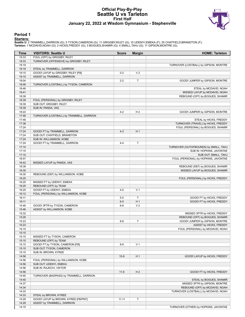#### **Official Play-By-Play Seattle U vs Tarleton First Half January 22, 2022 at Wisdom Gymnasium - Stephenville**



#### **Period 1**

<mark>Starters:</mark><br>Seattle U: 2 TRAMMELL,DARRION (G); 5 TYSON,CAMERON (G); 11 GRIGSBY,RILEY (G); 15 UDENYI,EMEKA (F); 25 CHATFIELD,BRANDTON (F);<br>**Tarleton**: 1 MCDAVID,NOAH (G); 2 HICKS,FREDDY (G); 3 BOGUES,SHAMIR (G); 4 SMALL,TAH

| Time           | <b>VISITORS: Seattle U</b>                           | <b>Score</b> | <b>Margin</b>  | <b>HOME: Tarleton</b>                 |
|----------------|------------------------------------------------------|--------------|----------------|---------------------------------------|
| 19:33          | FOUL (OFF) by GRIGSBY, RILEY                         |              |                |                                       |
| 19:33          | TURNOVER (OFFENSIVE) by GRIGSBY, RILEY               |              |                |                                       |
| 19:19          |                                                      |              |                | TURNOVER (LOSTBALL) by GIPSON, MONTRE |
| 19:19          | STEAL by TRAMMELL, DARRION                           |              |                |                                       |
| 19:15          | GOOD! LAYUP by GRIGSBY, RILEY [FB]                   | $0 - 2$      | V <sub>2</sub> |                                       |
| 19:15          | ASSIST by TRAMMELL, DARRION                          |              |                |                                       |
| 19:04          |                                                      | $2 - 2$      | Т              | GOOD! JUMPER by GIPSON, MONTRE        |
| 18:46          | TURNOVER (LOSTBALL) by TYSON, CAMERON                |              |                |                                       |
| 18:46          |                                                      |              |                | STEAL by MCDAVID, NOAH                |
| 18:41          |                                                      |              |                | MISSED LAYUP by MCDAVID, NOAH         |
| 18:39          |                                                      |              |                | REBOUND (OFF) by BOGUES, SHAMIR       |
| 18:39          | FOUL (PERSONAL) by GRIGSBY, RILEY                    |              |                |                                       |
| 18:39<br>18:39 | SUB OUT: GRIGSBY, RILEY<br>SUB IN: PANDA, VAS        |              |                |                                       |
| 18:22          |                                                      | $4 - 2$      | H <sub>2</sub> | GOOD! JUMPER by GIPSON, MONTRE        |
| 17:48          | TURNOVER (LOSTBALL) by TRAMMELL, DARRION             |              |                |                                       |
| 17:48          |                                                      |              |                | STEAL by HICKS, FREDDY                |
| 17:38          |                                                      |              |                | TURNOVER (TRAVEL) by HICKS, FREDDY    |
| 17:24          |                                                      |              |                | FOUL (PERSONAL) by BOGUES, SHAMIR     |
| 17:24          | GOOD! FT by TRAMMELL, DARRION                        | $4 - 3$      | H <sub>1</sub> |                                       |
| 17:24          | SUB OUT: CHATFIELD, BRANDTON                         |              |                |                                       |
| 17:24          | SUB IN: WILLIAMSON, KOBE                             |              |                |                                       |
| 17:24          | GOOD! FT by TRAMMELL, DARRION                        | $4 - 4$      | T              |                                       |
| 17:10          |                                                      |              |                | TURNOVER (OUTOFBOUNDS) by SMALL, TAHJ |
| 17:10          |                                                      |              |                | SUB IN: HOPKINS, JAVONTAE             |
| 17:10          |                                                      |              |                | SUB OUT: SMALL, TAHJ                  |
| 16:57          |                                                      |              |                | FOUL (PERSONAL) by HOPKINS, JAVONTAE  |
| 16:42          | MISSED LAYUP by PANDA, VAS                           |              |                |                                       |
| 16:39          |                                                      |              |                | REBOUND (DEF) by BOGUES, SHAMIR       |
| 16:35          |                                                      |              |                | MISSED LAYUP by BOGUES, SHAMIR        |
| 16:30<br>16:25 | REBOUND (DEF) by WILLIAMSON, KOBE                    |              |                | FOUL (PERSONAL) by HICKS, FREDDY      |
| 16:25          | MISSED FT by UDENYI, EMEKA                           |              |                |                                       |
| 16:25          | REBOUND (OFF) by TEAM                                |              |                |                                       |
| 16:25          | GOOD! FT by UDENYI, EMEKA                            | $4 - 5$      | V <sub>1</sub> |                                       |
| 16:12          | FOUL (PERSONAL) by WILLIAMSON, KOBE                  |              |                |                                       |
| 16:11          |                                                      | $5-5$        | Т              | GOOD! FT by HICKS, FREDDY             |
| 16:11          |                                                      | $6-5$        | H <sub>1</sub> | GOOD! FT by HICKS, FREDDY             |
| 15:46          | GOOD! 3PTR by TYSON, CAMERON                         | $6 - 8$      | V <sub>2</sub> |                                       |
| 15:46          | ASSIST by WILLIAMSON, KOBE                           |              |                |                                       |
| 15:32          |                                                      |              |                | MISSED 3PTR by HICKS, FREDDY          |
| 15:29          |                                                      |              |                | REBOUND (OFF) by BOGUES, SHAMIR       |
| 15:23          |                                                      | $8 - 8$      | T              | GOOD! JUMPER by GIPSON, MONTRE        |
| 15:23          |                                                      |              |                | ASSIST by HICKS, FREDDY               |
| 15:15          |                                                      |              |                | FOUL (PERSONAL) by MCDAVID, NOAH      |
| 15:15          |                                                      |              |                |                                       |
| 15:15<br>15:15 | MISSED FT by TYSON, CAMERON<br>REBOUND (OFF) by TEAM |              |                |                                       |
| 15:15          | GOOD! FT by TYSON, CAMERON [FB]                      | $8 - 9$      | V <sub>1</sub> |                                       |
| 15:15          | SUB OUT: TYSON, CAMERON                              |              |                |                                       |
| 15:15          | SUB IN: BROWN, KYREE                                 |              |                |                                       |
| 14:56          |                                                      | $10-9$       | H <sub>1</sub> | GOOD! LAYUP by HICKS, FREDDY          |
| 14:56          | FOUL (PERSONAL) by WILLIAMSON, KOBE                  |              |                |                                       |
| 14:56          | SUB OUT: UDENYI, EMEKA                               |              |                |                                       |
| 14:56          | SUB IN: RAJKOVI, VIKTOR                              |              |                |                                       |
| 14:56          |                                                      | $11-9$       | H <sub>2</sub> | GOOD! FT by HICKS, FREDDY             |
| 14:40          | TURNOVER (BADPASS) by TRAMMELL, DARRION              |              |                |                                       |
| 14:40          |                                                      |              |                | STEAL by BOGUES, SHAMIR               |
| 14:37          |                                                      |              |                | MISSED 3PTR by GIPSON, MONTRE         |
| 14:34          |                                                      |              |                | REBOUND (OFF) by MCDAVID, NOAH        |
| 14:33          |                                                      |              |                | TURNOVER (LOSTBALL) by MCDAVID, NOAH  |
| 14:33          | STEAL by BROWN, KYREE                                |              |                |                                       |
| 14:29          | GOOD! LAYUP by BROWN, KYREE [FB/PNT]                 | $11 - 11$    | Т              |                                       |
| 14:29          | ASSIST by TRAMMELL, DARRION                          |              |                |                                       |
| 14:15          |                                                      |              |                | TURNOVER (OTHER) by HOPKINS, JAVONTAE |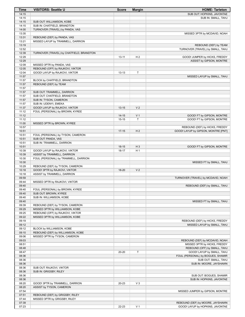| Time  | <b>VISITORS: Seattle U</b>               | <b>Score</b> | <b>Margin</b>  | <b>HOME: Tarleton</b>               |
|-------|------------------------------------------|--------------|----------------|-------------------------------------|
| 14:15 |                                          |              |                | SUB OUT: HOPKINS, JAVONTAE          |
| 14:15 |                                          |              |                | SUB IN: SMALL, TAHJ                 |
| 14:15 | SUB OUT: WILLIAMSON, KOBE                |              |                |                                     |
| 14:15 | SUB IN: CHATFIELD, BRANDTON              |              |                |                                     |
| 14:00 | TURNOVER (TRAVEL) by PANDA, VAS          |              |                |                                     |
| 13:35 |                                          |              |                | MISSED 3PTR by MCDAVID, NOAH        |
| 13:31 | REBOUND (DEF) by PANDA, VAS              |              |                |                                     |
| 13:21 | MISSED LAYUP by TRAMMELL, DARRION        |              |                |                                     |
| 13:19 |                                          |              |                | REBOUND (DEF) by TEAM               |
| 12:52 |                                          |              |                | TURNOVER (TRAVEL) by SMALL, TAHJ    |
| 12:39 | TURNOVER (TRAVEL) by CHATFIELD, BRANDTON |              |                |                                     |
| 12:29 |                                          | $13 - 11$    | H <sub>2</sub> | GOOD! JUMPER by HICKS, FREDDY       |
| 12:29 |                                          |              |                | ASSIST by GIPSON, MONTRE            |
| 12:09 | MISSED 3PTR by PANDA, VAS                |              |                |                                     |
| 12:05 | REBOUND (OFF) by RAJKOVI, VIKTOR         |              |                |                                     |
| 12:04 | GOOD! LAYUP by RAJKOVI, VIKTOR           | $13 - 13$    | T              |                                     |
| 11:57 |                                          |              |                | MISSED LAYUP by SMALL, TAHJ         |
| 11:57 | BLOCK by CHATFIELD, BRANDTON             |              |                |                                     |
| 11:57 | REBOUND (DEF) by TEAM                    |              |                |                                     |
| 11:57 |                                          |              |                |                                     |
| 11:57 | SUB OUT: TRAMMELL, DARRION               |              |                |                                     |
| 11:57 | SUB OUT: CHATFIELD, BRANDTON             |              |                |                                     |
| 11:57 | SUB IN: TYSON, CAMERON                   |              |                |                                     |
| 11:57 | SUB IN: UDENYI, EMEKA                    |              |                |                                     |
| 11:37 | GOOD! LAYUP by RAJKOVI, VIKTOR           | $13 - 15$    | V <sub>2</sub> |                                     |
| 11:12 | FOUL (PERSONAL) by BROWN, KYREE          |              |                |                                     |
| 11:12 |                                          | $14 - 15$    | V <sub>1</sub> | GOOD! FT by GIPSON, MONTRE          |
| 11:12 |                                          | $15 - 15$    | T              | GOOD! FT by GIPSON, MONTRE          |
| 11:00 | MISSED 3PTR by BROWN, KYREE              |              |                |                                     |
| 10:57 |                                          |              |                | REBOUND (DEF) by HICKS, FREDDY      |
| 10:51 |                                          | $17 - 15$    | H <sub>2</sub> | GOOD! LAYUP by GIPSON, MONTRE [PNT] |
| 10:51 | FOUL (PERSONAL) by TYSON, CAMERON        |              |                |                                     |
| 10:51 | SUB OUT: PANDA, VAS                      |              |                |                                     |
| 10:51 | SUB IN: TRAMMELL, DARRION                |              |                |                                     |
| 10:51 |                                          | $18-15$      | $H_3$          | GOOD! FT by GIPSON, MONTRE          |
| 10:39 | GOOD! LAYUP by RAJKOVI, VIKTOR           | 18-17        | H1             |                                     |
| 10:39 | ASSIST by TRAMMELL, DARRION              |              |                |                                     |
| 10:30 | FOUL (PERSONAL) by TRAMMELL, DARRION     |              |                |                                     |
| 10:30 |                                          |              |                | MISSED FT by SMALL, TAHJ            |
| 10:29 | REBOUND (DEF) by TYSON, CAMERON          |              |                |                                     |
| 10:18 | GOOD! 3PTR by RAJKOVI, VIKTOR            | 18-20        | V <sub>2</sub> |                                     |
| 10:18 | ASSIST by TRAMMELL, DARRION              |              |                |                                     |
| 09:59 |                                          |              |                | TURNOVER (TRAVEL) by MCDAVID, NOAH  |
| 09:44 | MISSED 3PTR by RAJKOVI, VIKTOR           |              |                |                                     |
| 09:40 |                                          |              |                | REBOUND (DEF) by SMALL, TAHJ        |
| 09:40 | FOUL (PERSONAL) by BROWN, KYREE          |              |                |                                     |
| 09:40 | SUB OUT: BROWN, KYREE                    |              |                |                                     |
| 09:40 | SUB IN: WILLIAMSON, KOBE                 |              |                |                                     |
| 09:40 |                                          |              |                | MISSED FT by SMALL, TAHJ            |
| 09:39 | REBOUND (DEF) by TYSON, CAMERON          |              |                |                                     |
| 09:29 | MISSED 3PTR by WILLIAMSON, KOBE          |              |                |                                     |
| 09:25 | REBOUND (OFF) by RAJKOVI, VIKTOR         |              |                |                                     |
| 09:22 | MISSED 3PTR by WILLIAMSON, KOBE          |              |                |                                     |
| 09:19 |                                          |              |                | REBOUND (DEF) by HICKS, FREDDY      |
| 09:12 |                                          |              |                | MISSED LAYUP by SMALL, TAHJ         |
| 09:12 | BLOCK by WILLIAMSON, KOBE                |              |                |                                     |
| 09:10 | REBOUND (DEF) by WILLIAMSON, KOBE        |              |                |                                     |
| 09:06 | MISSED 3PTR by TYSON, CAMERON            |              |                |                                     |
| 09:03 |                                          |              |                | REBOUND (DEF) by MCDAVID, NOAH      |
| 08:51 |                                          |              |                | MISSED 3PTR by HICKS, FREDDY        |
| 08:48 |                                          |              |                | REBOUND (OFF) by SMALL, TAHJ        |
| 08:47 |                                          | 20-20        | T              | GOOD! LAYUP by SMALL, TAHJ          |
| 08:36 |                                          |              |                | FOUL (PERSONAL) by BOGUES, SHAMIR   |
| 08:36 |                                          |              |                | SUB OUT: SMALL, TAHJ                |
| 08:36 |                                          |              |                | SUB IN: MOORE, JAYSHAWN             |
| 08:36 | SUB OUT: RAJKOVI, VIKTOR                 |              |                |                                     |
| 08:36 | SUB IN: GRIGSBY, RILEY                   |              |                |                                     |
| 08:36 |                                          |              |                | SUB OUT: BOGUES, SHAMIR             |
| 08:36 |                                          |              |                | SUB IN: HOPKINS, JAVONTAE           |
| 08:20 | GOOD! 3PTR by TRAMMELL, DARRION          | 20-23        | $V_3$          |                                     |
| 08:20 | ASSIST by TYSON, CAMERON                 |              |                |                                     |
| 07:54 |                                          |              |                | MISSED JUMPER by GIPSON, MONTRE     |
| 07:51 | REBOUND (DEF) by GRIGSBY, RILEY          |              |                |                                     |
| 07:44 | MISSED 3PTR by GRIGSBY, RILEY            |              |                |                                     |
| 07:39 |                                          |              |                | REBOUND (DEF) by MOORE, JAYSHAWN    |
| 07:23 |                                          | 22-23        | V <sub>1</sub> | GOOD! LAYUP by HOPKINS, JAVONTAE    |
|       |                                          |              |                |                                     |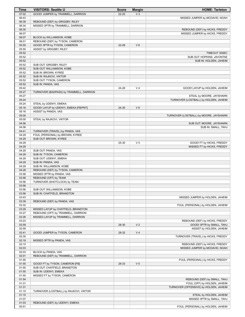| Time           | <b>VISITORS: Seattle U</b>                                      | <b>Score</b> | <b>Margin</b>  | <b>HOME: Tarleton</b>                                 |
|----------------|-----------------------------------------------------------------|--------------|----------------|-------------------------------------------------------|
| 07:02          | GOOD! JUMPER by TRAMMELL, DARRION                               | $22 - 25$    | V <sub>3</sub> |                                                       |
| 06:43          |                                                                 |              |                | MISSED JUMPER by MCDAVID, NOAH                        |
| 06:39          | REBOUND (DEF) by GRIGSBY, RILEY                                 |              |                |                                                       |
| 06:34          | MISSED 3PTR by TRAMMELL, DARRION                                |              |                |                                                       |
| 06:30          |                                                                 |              |                | REBOUND (DEF) by HICKS, FREDDY                        |
| 06:07          |                                                                 |              |                | MISSED JUMPER by HICKS, FREDDY                        |
| 06:07          | BLOCK by WILLIAMSON, KOBE                                       |              |                |                                                       |
| 06:01<br>05:55 | REBOUND (DEF) by TYSON, CAMERON<br>GOOD! 3PTR by TYSON, CAMERON | 22-28        | $V_6$          |                                                       |
| 05:55          | ASSIST by GRIGSBY, RILEY                                        |              |                |                                                       |
| 05:52          |                                                                 |              |                | TIMEOUT 30SEC                                         |
| 05:52          |                                                                 |              |                | SUB OUT: HOPKINS, JAVONTAE                            |
| 05:52          |                                                                 |              |                | SUB IN: HOLDEN, JAHEIM                                |
| 05:52          | SUB OUT: GRIGSBY, RILEY                                         |              |                |                                                       |
| 05:52          | SUB OUT: WILLIAMSON, KOBE                                       |              |                |                                                       |
| 05:52          | SUB IN: BROWN, KYREE                                            |              |                |                                                       |
| 05:52          | SUB IN: RAJKOVI, VIKTOR                                         |              |                |                                                       |
| 05:52          | SUB OUT: TYSON, CAMERON                                         |              |                |                                                       |
| 05:52          | SUB IN: PANDA, VAS                                              |              |                |                                                       |
| 05:42          |                                                                 | 24-28        | V <sub>4</sub> | GOOD! LAYUP by HOLDEN, JAHEIM                         |
| 05:27          | TURNOVER (BADPASS) by TRAMMELL, DARRION                         |              |                |                                                       |
| 05:27          |                                                                 |              |                | STEAL by MOORE, JAYSHAWN                              |
| 05:24          |                                                                 |              |                | TURNOVER (LOSTBALL) by HOLDEN, JAHEIM                 |
| 05:24<br>05:16 | STEAL by UDENYI, EMEKA<br>GOOD! LAYUP by UDENYI, EMEKA [FB/PNT] |              | $V_6$          |                                                       |
| 05:16          | ASSIST by PANDA, VAS                                            | 24-30        |                |                                                       |
| 05:00          |                                                                 |              |                | TURNOVER (LOSTBALL) by MOORE, JAYSHAWN                |
| 05:00          | STEAL by RAJKOVI, VIKTOR                                        |              |                |                                                       |
| 04:56          |                                                                 |              |                | SUB OUT: MOORE, JAYSHAWN                              |
| 04:56          |                                                                 |              |                | SUB IN: SMALL, TAHJ                                   |
| 04:41          | TURNOVER (TRAVEL) by PANDA, VAS                                 |              |                |                                                       |
| 04:29          | FOUL (PERSONAL) by BROWN, KYREE                                 |              |                |                                                       |
| 04:29          | SUB OUT: BROWN, KYREE                                           |              |                |                                                       |
| 04:29          |                                                                 | 25-30        | V <sub>5</sub> | GOOD! FT by HICKS, FREDDY                             |
| 04:29          |                                                                 |              |                | MISSED FT by HICKS, FREDDY                            |
| 04:29          | SUB OUT: PANDA, VAS                                             |              |                |                                                       |
| 04:29          | SUB IN: TYSON, CAMERON                                          |              |                |                                                       |
| 04:29          | SUB OUT: UDENYI, EMEKA                                          |              |                |                                                       |
| 04:29          | SUB IN: PANDA, VAS                                              |              |                |                                                       |
| 04:29<br>04:28 | SUB IN: WILLIAMSON, KOBE<br>REBOUND (DEF) by TYSON, CAMERON     |              |                |                                                       |
| 03:58          | MISSED 3PTR by PANDA, VAS                                       |              |                |                                                       |
| 03:56          | REBOUND (OFF) by TEAM                                           |              |                |                                                       |
| 03:56          | TURNOVER (SHOTCLOCK) by TEAM                                    |              |                |                                                       |
| 03:56          |                                                                 |              |                |                                                       |
| 03:56          | SUB OUT: WILLIAMSON, KOBE                                       |              |                |                                                       |
| 03:56          | SUB IN: CHATFIELD, BRANDTON                                     |              |                |                                                       |
| 03:43          |                                                                 |              |                | MISSED JUMPER by HOLDEN, JAHEIM                       |
| 03:39          | REBOUND (DEF) by PANDA, VAS                                     |              |                |                                                       |
| 03:32          |                                                                 |              |                | FOUL (PERSONAL) by HOLDEN, JAHEIM                     |
| 03:29          | MISSED LAYUP by CHATFIELD, BRANDTON                             |              |                |                                                       |
| 03:27          | REBOUND (OFF) by TRAMMELL, DARRION                              |              |                |                                                       |
| 03:26          | MISSED LAYUP by TRAMMELL, DARRION                               |              |                |                                                       |
| 03:23          |                                                                 |              |                | REBOUND (DEF) by HICKS, FREDDY                        |
| 02:59          |                                                                 | 28-30        | V <sub>2</sub> | GOOD! 3PTR by SMALL, TAHJ<br>ASSIST by HOLDEN, JAHEIM |
| 02:59<br>02:41 | GOOD! JUMPER by TYSON, CAMERON                                  | 28-32        | V <sub>4</sub> |                                                       |
| 02:30          |                                                                 |              |                | TURNOVER (TRAVEL) by HICKS, FREDDY                    |
| 02:19          | MISSED 3PTR by PANDA, VAS                                       |              |                |                                                       |
| 02:15          |                                                                 |              |                | REBOUND (DEF) by HICKS, FREDDY                        |
| 02:03          |                                                                 |              |                | MISSED JUMPER by MCDAVID, NOAH                        |
| 02:03          | BLOCK by PANDA, VAS                                             |              |                |                                                       |
| 02:01          | REBOUND (DEF) by TRAMMELL, DARRION                              |              |                |                                                       |
| 01:55          |                                                                 |              |                | FOUL (PERSONAL) by HICKS, FREDDY                      |
| 01:55          | GOOD! FT by TYSON, CAMERON [FB]                                 | 28-33        | V <sub>5</sub> |                                                       |
| 01:55          | SUB OUT: CHATFIELD, BRANDTON                                    |              |                |                                                       |
| 01:55          | SUB IN: UDENYI, EMEKA                                           |              |                |                                                       |
| 01:55          | MISSED FT by TYSON, CAMERON                                     |              |                |                                                       |
| 01:54          |                                                                 |              |                | REBOUND (DEF) by SMALL, TAHJ                          |
| 01:31          |                                                                 |              |                | FOUL (OFF) by HOLDEN, JAHEIM                          |
| 01:31          |                                                                 |              |                | TURNOVER (OFFENSIVE) by HOLDEN, JAHEIM                |
| 01:15          | TURNOVER (LOSTBALL) by RAJKOVI, VIKTOR                          |              |                |                                                       |
| 01:15          |                                                                 |              |                | STEAL by HOLDEN, JAHEIM                               |
| 01:07<br>01:03 | REBOUND (DEF) by UDENYI, EMEKA                                  |              |                | MISSED 3PTR by SMALL, TAHJ                            |
| 00:51          |                                                                 |              |                | FOUL (PERSONAL) by HOLDEN, JAHEIM                     |
|                |                                                                 |              |                |                                                       |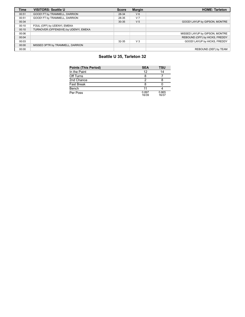| <b>Time</b> | <b>VISITORS: Seattle U</b>            | <b>Score</b> | <b>Margin</b>  | <b>HOME: Tarleton</b>          |
|-------------|---------------------------------------|--------------|----------------|--------------------------------|
| 00:51       | GOOD! FT by TRAMMELL, DARRION         | 28-34        | $V_6$          |                                |
| 00:51       | GOOD! FT by TRAMMELL, DARRION         | 28-35        | V <sub>7</sub> |                                |
| 00:34       |                                       | 30-35        | V <sub>5</sub> | GOOD! LAYUP by GIPSON, MONTRE  |
| 00:10       | FOUL (OFF) by UDENYI, EMEKA           |              |                |                                |
| 00:10       | TURNOVER (OFFENSIVE) by UDENYI, EMEKA |              |                |                                |
| 00:06       |                                       |              |                | MISSED LAYUP by GIPSON, MONTRE |
| 00:04       |                                       |              |                | REBOUND (OFF) by HICKS, FREDDY |
| 00:03       |                                       | 32-35        | V <sub>3</sub> | GOOD! LAYUP by HICKS, FREDDY   |
| 00:00       | MISSED 3PTR by TRAMMELL, DARRION      |              |                |                                |
| 00:00       |                                       |              |                | REBOUND (DEF) by TEAM          |

# **Seattle U 35, Tarleton 32**

| <b>Points (This Period)</b> | <b>SEA</b>     | TSU            |
|-----------------------------|----------------|----------------|
| In the Paint                | 12             | 14             |
| Off Turns                   |                |                |
| 2nd Chance                  | າ              |                |
| <b>Fast Break</b>           | 8              |                |
| Bench                       | 11             |                |
| Per Poss                    | 0.897<br>16/39 | 0.865<br>16/37 |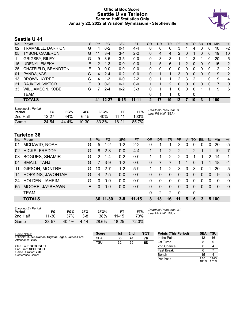### **Official Box Score Seattle U vs Tarleton Second Half Statistics Only January 22, 2022 at Wisdom Gymnasium - Stephenville**



# **Seattle U 41**

| No. | Plaver                  | S  | <b>Pts</b> | FG.      | 3FG      | <b>FT</b> | <b>OR</b> | <b>DR</b> | <b>TR</b>      | PF             | A        | TO       | <b>B</b> lk  | Stl          | Min | $+/-$ |
|-----|-------------------------|----|------------|----------|----------|-----------|-----------|-----------|----------------|----------------|----------|----------|--------------|--------------|-----|-------|
| 02  | TRAMMELL, DARRION       | G  | 4          | $0 - 2$  | 0-1      | $4 - 4$   | 0         | 0         | 0              | 3              |          | 4        | 0            | 0            | 10  | $-2$  |
| 05  | TYSON, CAMERON          | G  | 11         | 3-4      | $3 - 4$  | $2 - 2$   | 0         | 4         | 4              | $\overline{2}$ | 0        |          | 0            | 0            | 19  | 10    |
| 11  | <b>GRIGSBY, RILEY</b>   | G  | 9          | $3-5$    | $3 - 5$  | $0-0$     | 0         | 3         | 3              |                |          | 3        |              | 0            | 20  | 5     |
| 15  | <b>UDENYI, EMEKA</b>    | F. | 2          | $1 - 3$  | $0 - 0$  | $0 - 0$   |           | 5         | 6              | 1.             | 2        | $\Omega$ | $\mathbf{0}$ | $\mathbf{0}$ | 15  | 2     |
| 25  | CHATFIELD, BRANDTON     | F. | 0          | $0 - 0$  | $0 - 0$  | $0 - 0$   | 0         | $\Omega$  | $\Omega$       | $\Omega$       | 0        | $\Omega$ | $\Omega$     | 0            | 2   | $-2$  |
| 01  | PANDA, VAS              | G  | 4          | $2 - 4$  | $0 - 2$  | $0 - 0$   | 0         |           |                | 3              | $\Omega$ | $\Omega$ | $\Omega$     | 0            | 9   | 2     |
| 13  | <b>BROWN, KYREE</b>     | G  | 4          | $1 - 3$  | $0 - 0$  | $2 - 2$   | 0         |           |                | 2              | 3        | 2        |              | $\Omega$     | 9   | 4     |
| 21  | RAJKOVI, VIKTOR         | F. | 0          | $0 - 2$  | $0 - 1$  | $0 - 0$   |           |           | $\overline{2}$ | $\Omega$       | 0        | $\Omega$ | $\Omega$     | 0            | 7   | 0     |
| 33  | <b>WILLIAMSON, KOBE</b> | G  |            | $2 - 4$  | $0 - 2$  | $3 - 3$   | 0         |           |                | 0              | 0        | 0        |              |              | 9   | 6     |
|     | TEAM                    |    |            |          |          |           | 0         | 1         |                | 0              |          | 0        |              |              |     |       |
|     | <b>TOTALS</b>           |    |            | 41 12-27 | $6 - 15$ | $11 - 11$ | 2         | 17        | 19             | 12             | 7        | 10       | 3            | 1            | 100 |       |

| <b>Shooting By Period</b><br>Period | FG    | FG%   | 3FG       | 3FG%  | FТ        | FT%   | Deadball Rebounds: 3,0<br>Last FG Half: SEA - |
|-------------------------------------|-------|-------|-----------|-------|-----------|-------|-----------------------------------------------|
| 2nd Half                            | 12-27 | 44%   | 6-15      | 40%   | $11 - 11$ | 100%  |                                               |
| Game                                | 24-54 | 44.4% | $10 - 30$ | 33.3% | $18 - 21$ | 85.7% |                                               |

# **Tarleton 36**

| No. | Player                | S  | <b>Pts</b>    | FG.      | 3FG     | <b>FT</b> | OR           | <b>DR</b>    | TR             | <b>PF</b>      | A            | <b>TO</b> | <b>B</b> lk | Stl           | Min      | $+/-$          |
|-----|-----------------------|----|---------------|----------|---------|-----------|--------------|--------------|----------------|----------------|--------------|-----------|-------------|---------------|----------|----------------|
| 01  | MCDAVID, NOAH         | G  | 5             | $1 - 2$  | $1 - 2$ | $2 - 2$   | 0            |              |                | 3              | 0            | 0         | 0           | 0             | 20       | -5             |
| 02  | <b>HICKS, FREDDY</b>  | G  | 8             | $2 - 3$  | $0 - 0$ | $4 - 4$   |              |              | $\overline{2}$ | $\overline{2}$ |              | 2         |             |               | 19       | $-7$           |
| 03  | <b>BOGUES, SHAMIR</b> | G  | $\mathcal{P}$ | $1 - 4$  | $0 - 2$ | $0-0$     |              |              | $\overline{2}$ | 2              | $\Omega$     |           |             | $\mathcal{P}$ | 14       | 1              |
| 04  | SMALL, TAHJ           | G  | 7             | $3-9$    | $1 - 2$ | $0-0$     | 0            | 7            |                |                | 1            | 0         |             |               | 18       | $-4$           |
| 11  | <b>GIPSON, MONTRE</b> | G  | 10            | $2 - 7$  | $1 - 2$ | $5-9$     |              |              | 2              | 3              | 3            | 3         | $\Omega$    |               | 20       | -5             |
| 14  | HOPKINS, JAVONTAE     | G  | 4             | $2 - 5$  | $0 - 0$ | $0 - 0$   | $\mathbf{0}$ | $\mathbf{0}$ | $\mathbf{0}$   | $\Omega$       | $\mathbf{0}$ | $\Omega$  | $\Omega$    | 0             | 9        | -5             |
| 24  | HOLDEN, JAHEIM        | G  | $\Omega$      | $0 - 0$  | $0-0$   | $0-0$     | $\Omega$     | $\Omega$     | $\Omega$       | 0              | $\Omega$     | 0         | $\Omega$    | $\Omega$      | $\Omega$ | $\mathbf{0}$   |
| 55  | MOORE, JAYSHAWN       | F. | $\Omega$      | $0 - 0$  | $0 - 0$ | $0 - 0$   | 0            | $\Omega$     | $\Omega$       | $\Omega$       | $\Omega$     | 0         | $\Omega$    | $\Omega$      | $\Omega$ | $\overline{0}$ |
|     | <b>TEAM</b>           |    |               |          |         |           | $\Omega$     | 2            | 2              | $\mathbf 0$    |              | 0         |             |               |          |                |
|     | <b>TOTALS</b>         |    |               | 36 11-30 | 3-8     | $11 - 15$ | 3            | 13           | 16             | 11             | 5            | 6         | 3           |               | 5 100    |                |

| <b>Shooting By Period</b><br>Period | FG        | FG%   | 3FG     | 3FG%  |           | FT%   |
|-------------------------------------|-----------|-------|---------|-------|-----------|-------|
| 2nd Half                            | $11 - 30$ | 37%   | $3 - 8$ | 38%   | $11 - 15$ | 73%   |
| Game                                | $23 - 57$ | 40.4% | 4-14    | 28.6% | $18 - 25$ | 72.0% |

*Deadball Rebounds:* 3,0 *Last FG Half:* TSU -

| Game Notes:                                                           | <b>Score</b> | 1st | 2 <sub>nd</sub> | TOT | <b>Points (This Period)</b> | <b>SEA</b>     | TSU            |
|-----------------------------------------------------------------------|--------------|-----|-----------------|-----|-----------------------------|----------------|----------------|
| Officials: Ruben Ramos, Crystal Hogan, James Ford<br>Attendance: 2022 | <b>SEA</b>   | 35  | 41              | 76  | In the Paint                |                | 16             |
|                                                                       | <b>TSU</b>   | 32  | 36              | 68  | Off Turns                   |                |                |
| Start Time: 08:03 PM ET                                               |              |     |                 |     | 2nd Chance                  |                |                |
| End Time: 10:41 PM ET<br>Game Duration: 2:38                          |              |     |                 |     | <b>Fast Break</b>           |                |                |
| Conference Game:                                                      |              |     |                 |     | Bench                       | 15             |                |
|                                                                       |              |     |                 |     | Per Poss                    | 1.051<br>18/39 | 0.923<br>17/39 |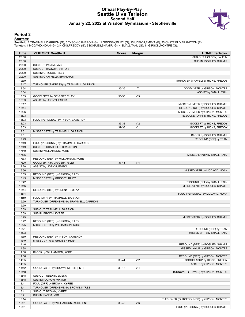### **Official Play-By-Play Seattle U vs Tarleton Second Half January 22, 2022 at Wisdom Gymnasium - Stephenville**



### **Period 2**

<mark>Starters:</mark><br>Seattle U: 2 TRAMMELL,DARRION (G); 5 TYSON,CAMERON (G); 11 GRIGSBY,RILEY (G); 15 UDENYI,EMEKA (F); 25 CHATFIELD,BRANDTON (F);<br>**Tarleton**: 1 MCDAVID,NOAH (G); 2 HICKS,FREDDY (G); 3 BOGUES,SHAMIR (G); 4 SMALL,TAH

| Time           | <b>VISITORS: Seattle U</b>                | <b>Score</b> | <b>Margin</b>  | <b>HOME: Tarleton</b>                                         |
|----------------|-------------------------------------------|--------------|----------------|---------------------------------------------------------------|
| 20:00          |                                           |              |                | SUB OUT: HOLDEN, JAHEIM                                       |
| 20:00          |                                           |              |                | SUB IN: BOGUES, SHAMIR                                        |
| 20:00          | SUB OUT: PANDA, VAS                       |              |                |                                                               |
| 20:00          | SUB OUT: RAJKOVI, VIKTOR                  |              |                |                                                               |
| 20:00          | SUB IN: GRIGSBY, RILEY                    |              |                |                                                               |
| 20:00          | SUB IN: CHATFIELD, BRANDTON               |              |                |                                                               |
| 19:39          |                                           |              |                | TURNOVER (TRAVEL) by HICKS, FREDDY                            |
| 19:17          | TURNOVER (BADPASS) by TRAMMELL, DARRION   |              |                |                                                               |
| 18:54          |                                           | 35-35        | Т              | GOOD! 3PTR by GIPSON, MONTRE                                  |
| 18:54<br>18:33 | GOOD! 3PTR by GRIGSBY, RILEY              | 35-38        | $V_3$          | ASSIST by SMALL, TAHJ                                         |
| 18:33          | ASSIST by UDENYI, EMEKA                   |              |                |                                                               |
| 18:17          |                                           |              |                | MISSED JUMPER by BOGUES, SHAMIR                               |
| 18:14          |                                           |              |                | REBOUND (OFF) by BOGUES, SHAMIR                               |
| 18:06          |                                           |              |                | MISSED JUMPER by GIPSON, MONTRE                               |
| 18:03          |                                           |              |                | REBOUND (OFF) by HICKS, FREDDY                                |
| 18:03          | FOUL (PERSONAL) by TYSON, CAMERON         |              |                |                                                               |
| 18:03          |                                           | 36-38        | V <sub>2</sub> | GOOD! FT by HICKS, FREDDY                                     |
| 18:03          |                                           | 37-38        | V <sub>1</sub> | GOOD! FT by HICKS, FREDDY                                     |
| 17:51          | MISSED 3PTR by TRAMMELL, DARRION          |              |                |                                                               |
| 17:51          |                                           |              |                | BLOCK by BOGUES, SHAMIR                                       |
| 17:49          |                                           |              |                | REBOUND (DEF) by TEAM                                         |
| 17:49          | FOUL (PERSONAL) by TRAMMELL, DARRION      |              |                |                                                               |
| 17:49          | SUB OUT: CHATFIELD, BRANDTON              |              |                |                                                               |
| 17:49          | SUB IN: WILLIAMSON, KOBE                  |              |                |                                                               |
| 17:35          |                                           |              |                | MISSED LAYUP by SMALL, TAHJ                                   |
| 17:33          | REBOUND (DEF) by WILLIAMSON, KOBE         |              |                |                                                               |
| 17:20          | GOOD! 3PTR by GRIGSBY, RILEY              | $37 - 41$    | V <sub>4</sub> |                                                               |
| 17:20          | ASSIST by UDENYI, EMEKA                   |              |                |                                                               |
| 16:56          |                                           |              |                | MISSED 3PTR by MCDAVID, NOAH                                  |
| 16:53          | REBOUND (DEF) by GRIGSBY, RILEY           |              |                |                                                               |
| 16:45<br>16:42 | MISSED 3PTR by GRIGSBY, RILEY             |              |                |                                                               |
| 16:16          |                                           |              |                | REBOUND (DEF) by SMALL, TAHJ<br>MISSED 3PTR by BOGUES, SHAMIR |
| 16:14          | REBOUND (DEF) by UDENYI, EMEKA            |              |                |                                                               |
| 16:14          |                                           |              |                | FOUL (PERSONAL) by MCDAVID, NOAH                              |
| 15:59          | FOUL (OFF) by TRAMMELL, DARRION           |              |                |                                                               |
| 15:59          | TURNOVER (OFFENSIVE) by TRAMMELL, DARRION |              |                |                                                               |
| 15:59          |                                           |              |                |                                                               |
| 15:59          | SUB OUT: TRAMMELL, DARRION                |              |                |                                                               |
| 15:59          | SUB IN: BROWN, KYREE                      |              |                |                                                               |
| 15:45          |                                           |              |                | MISSED 3PTR by BOGUES, SHAMIR                                 |
| 15:42          | REBOUND (DEF) by GRIGSBY, RILEY           |              |                |                                                               |
| 15:25          | MISSED 3PTR by WILLIAMSON, KOBE           |              |                |                                                               |
| 15:21          |                                           |              |                | REBOUND (DEF) by TEAM                                         |
| 15:03          |                                           |              |                | MISSED 3PTR by SMALL, TAHJ                                    |
| 14:59          | REBOUND (DEF) by TYSON, CAMERON           |              |                |                                                               |
| 14:49          | MISSED 3PTR by GRIGSBY, RILEY             |              |                |                                                               |
| 14:46          |                                           |              |                | REBOUND (DEF) by BOGUES, SHAMIR                               |
| 14:38          |                                           |              |                | MISSED LAYUP by GIPSON, MONTRE                                |
| 14:38          | BLOCK by WILLIAMSON, KOBE                 |              |                |                                                               |
| 14:36          |                                           |              |                | REBOUND (OFF) by GIPSON, MONTRE                               |
| 14:35          |                                           | 39-41        | V <sub>2</sub> | GOOD! LAYUP by HICKS, FREDDY                                  |
| 14:35          |                                           |              |                | ASSIST by GIPSON, MONTRE                                      |
| 14:12          | GOOD! LAYUP by BROWN, KYREE [PNT]         | 39-43        | V <sub>4</sub> |                                                               |
| 13:48<br>13:48 | SUB OUT: UDENYI, EMEKA                    |              |                | TURNOVER (TRAVEL) by GIPSON, MONTRE                           |
| 13:48          | SUB IN: RAJKOVI, VIKTOR                   |              |                |                                                               |
| 13:41          | FOUL (OFF) by BROWN, KYREE                |              |                |                                                               |
| 13:41          | TURNOVER (OFFENSIVE) by BROWN, KYREE      |              |                |                                                               |
| 13:41          | SUB OUT: BROWN, KYREE                     |              |                |                                                               |
| 13:41          | SUB IN: PANDA, VAS                        |              |                |                                                               |
| 13:14          |                                           |              |                | TURNOVER (OUTOFBOUNDS) by GIPSON, MONTRE                      |
| 12:51          | GOOD! LAYUP by WILLIAMSON, KOBE [PNT]     | 39-45        | $V_6$          |                                                               |
| 12:51          |                                           |              |                | FOUL (PERSONAL) by BOGUES, SHAMIR                             |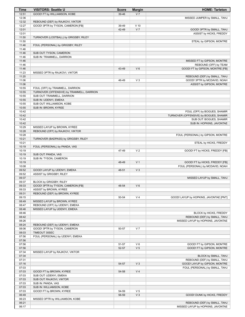| Time           | <b>VISITORS: Seattle U</b>                | <b>Score</b> | <b>Margin</b>           | <b>HOME: Tarleton</b>                                                  |
|----------------|-------------------------------------------|--------------|-------------------------|------------------------------------------------------------------------|
| 12:51          | GOOD! FT by WILLIAMSON, KOBE              | 39-46        | V <sub>7</sub>          |                                                                        |
| 12:36          |                                           |              |                         | MISSED JUMPER by SMALL, TAHJ                                           |
| 12:32          | REBOUND (DEF) by RAJKOVI, VIKTOR          |              |                         |                                                                        |
| 12:27          | GOOD! 3PTR by TYSON, CAMERON [FB]         | 39-49        | $V$ 10                  |                                                                        |
| 12:01          |                                           | 42-49        | V <sub>7</sub>          | GOOD! 3PTR by SMALL, TAHJ                                              |
| 12:01          |                                           |              |                         | ASSIST by HICKS, FREDDY                                                |
| 11:50          | TURNOVER (LOSTBALL) by GRIGSBY, RILEY     |              |                         |                                                                        |
| 11:50<br>11:46 |                                           |              |                         | STEAL by GIPSON, MONTRE                                                |
| 11:46          | FOUL (PERSONAL) by GRIGSBY, RILEY         |              |                         |                                                                        |
| 11:46          | SUB OUT: TYSON, CAMERON                   |              |                         |                                                                        |
| 11:46          | SUB IN: TRAMMELL, DARRION                 |              |                         |                                                                        |
| 11:46          |                                           |              |                         | MISSED FT by GIPSON, MONTRE                                            |
| 11:46          |                                           |              |                         | REBOUND (OFF) by TEAM                                                  |
| 11:46          |                                           | 43-49        | $V_6$                   | GOOD! FT by GIPSON, MONTRE [FB]                                        |
| 11:23          | MISSED 3PTR by RAJKOVI, VIKTOR            |              |                         |                                                                        |
| 11:20          |                                           |              |                         | REBOUND (DEF) by SMALL, TAHJ                                           |
| 11:06          |                                           | 46-49        | $V_3$                   | GOOD! 3PTR by MCDAVID, NOAH                                            |
| 11:06          |                                           |              |                         | ASSIST by GIPSON, MONTRE                                               |
| 10:55          | FOUL (OFF) by TRAMMELL, DARRION           |              |                         |                                                                        |
| 10:55          | TURNOVER (OFFENSIVE) by TRAMMELL, DARRION |              |                         |                                                                        |
| 10:55          | SUB OUT: TRAMMELL, DARRION                |              |                         |                                                                        |
| 10:55          | SUB IN: UDENYI, EMEKA                     |              |                         |                                                                        |
| 10:55          | SUB OUT: WILLIAMSON, KOBE                 |              |                         |                                                                        |
| 10:55<br>10:42 | SUB IN: BROWN, KYREE                      |              |                         |                                                                        |
| 10:42          |                                           |              |                         | FOUL (OFF) by BOGUES, SHAMIR<br>TURNOVER (OFFENSIVE) by BOGUES, SHAMIR |
| 10:42          |                                           |              |                         | SUB OUT: BOGUES, SHAMIR                                                |
| 10:42          |                                           |              |                         | SUB IN: HOPKINS, JAVONTAE                                              |
| 10:29          | MISSED LAYUP by BROWN, KYREE              |              |                         |                                                                        |
| 10:28          | REBOUND (OFF) by RAJKOVI, VIKTOR          |              |                         |                                                                        |
| 10:28          |                                           |              |                         | FOUL (PERSONAL) by GIPSON, MONTRE                                      |
| 10:21          | TURNOVER (BADPASS) by GRIGSBY, RILEY      |              |                         |                                                                        |
| 10:21          |                                           |              |                         | STEAL by HICKS, FREDDY                                                 |
| 10:19          | FOUL (PERSONAL) by PANDA, VAS             |              |                         |                                                                        |
| 10:19          |                                           | 47-49        | V <sub>2</sub>          | GOOD! FT by HICKS, FREDDY [FB]                                         |
| 10:19          | SUB OUT: PANDA, VAS                       |              |                         |                                                                        |
| 10:19          | SUB IN: TYSON, CAMERON                    |              |                         |                                                                        |
| 10:19          |                                           | 48-49        | V <sub>1</sub>          | GOOD! FT by HICKS, FREDDY [FB]                                         |
| 10:08          |                                           |              |                         | FOUL (PERSONAL) by MCDAVID, NOAH                                       |
| 09:52          | GOOD! LAYUP by UDENYI, EMEKA              | 48-51        | V <sub>3</sub>          |                                                                        |
| 09:52<br>09:37 | ASSIST by GRIGSBY, RILEY                  |              |                         | MISSED LAYUP by SMALL, TAHJ                                            |
| 09:37          | BLOCK by GRIGSBY, RILEY                   |              |                         |                                                                        |
| 09:33          | GOOD! 3PTR by TYSON, CAMERON [FB]         | 48-54        | $V_6$                   |                                                                        |
| 09:33          | ASSIST by BROWN, KYREE                    |              |                         |                                                                        |
| 09:31          | REBOUND (DEF) by BROWN, KYREE             |              |                         |                                                                        |
| 09:15          |                                           | 50-54        | V <sub>4</sub>          | GOOD! LAYUP by HOPKINS, JAVONTAE [PNT]                                 |
| 08:49          | MISSED LAYUP by BROWN, KYREE              |              |                         |                                                                        |
| 08:47          | REBOUND (OFF) by UDENYI, EMEKA            |              |                         |                                                                        |
| 08:46          | MISSED LAYUP by UDENYI, EMEKA             |              |                         |                                                                        |
| 08:46          |                                           |              |                         | BLOCK by HICKS, FREDDY                                                 |
| 08:42          |                                           |              |                         | REBOUND (DEF) by SMALL, TAHJ                                           |
| 08:26          |                                           |              |                         | MISSED LAYUP by HOPKINS, JAVONTAE                                      |
| 08:24          | REBOUND (DEF) by UDENYI, EMEKA            |              |                         |                                                                        |
| 08:06          | GOOD! 3PTR by TYSON, CAMERON              | 50-57        | V <sub>7</sub>          |                                                                        |
| 08:03          | TIMEOUT 30SEC                             |              |                         |                                                                        |
| 07:56          | FOUL (PERSONAL) by UDENYI, EMEKA          |              |                         |                                                                        |
| 07:56          |                                           |              |                         |                                                                        |
| 07:56          |                                           | 51-57        | $V_6$<br>V <sub>5</sub> | GOOD! FT by GIPSON, MONTRE<br>GOOD! FT by GIPSON, MONTRE               |
| 07:56<br>07:34 | MISSED LAYUP by RAJKOVI, VIKTOR           | 52-57        |                         |                                                                        |
| 07:34          |                                           |              |                         | BLOCK by SMALL, TAHJ                                                   |
| 07:31          |                                           |              |                         | REBOUND (DEF) by SMALL, TAHJ                                           |
| 07:16          |                                           | 54-57        | V <sub>3</sub>          | GOOD! LAYUP by GIPSON, MONTRE                                          |
| 07:03          |                                           |              |                         | FOUL (PERSONAL) by SMALL, TAHJ                                         |
| 07:03          | GOOD! FT by BROWN, KYREE                  | 54-58        | V <sub>4</sub>          |                                                                        |
| 07:03          | SUB OUT: UDENYI, EMEKA                    |              |                         |                                                                        |
| 07:03          | SUB OUT: RAJKOVI, VIKTOR                  |              |                         |                                                                        |
| 07:03          | SUB IN: PANDA, VAS                        |              |                         |                                                                        |
| 07:03          | SUB IN: WILLIAMSON, KOBE                  |              |                         |                                                                        |
| 07:03          | GOOD! FT by BROWN, KYREE                  | 54-59        | V <sub>5</sub>          |                                                                        |
| 06:49          |                                           | 56-59        | $V_3$                   | GOOD! DUNK by HICKS, FREDDY                                            |
| 06:23          | MISSED 3PTR by WILLIAMSON, KOBE           |              |                         |                                                                        |
| 06:21          |                                           |              |                         | REBOUND (DEF) by SMALL, TAHJ                                           |
| 06:17          |                                           |              |                         | MISSED LAYUP by HOPKINS, JAVONTAE                                      |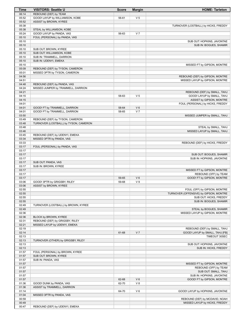| Time           | <b>VISITORS: Seattle U</b>                         | <b>Score</b> | <b>Margin</b>  | <b>HOME: Tarleton</b>                               |
|----------------|----------------------------------------------------|--------------|----------------|-----------------------------------------------------|
| 06:14          | REBOUND (DEF) by TEAM                              |              |                |                                                     |
| 05:52          | GOOD! LAYUP by WILLIAMSON, KOBE                    | 56-61        | V <sub>5</sub> |                                                     |
| 05:52          | ASSIST by BROWN, KYREE                             |              |                |                                                     |
| 05:38          |                                                    |              |                | TURNOVER (LOSTBALL) by HICKS, FREDDY                |
| 05:38          | STEAL by WILLIAMSON, KOBE                          |              |                |                                                     |
| 05:24          | GOOD! LAYUP by PANDA, VAS                          | 56-63        | V <sub>7</sub> |                                                     |
| 05:10          | FOUL (PERSONAL) by PANDA, VAS                      |              |                |                                                     |
| 05:10          |                                                    |              |                | SUB OUT: HOPKINS, JAVONTAE                          |
| 05:10          |                                                    |              |                | SUB IN: BOGUES, SHAMIR                              |
| 05:10<br>05:10 | SUB OUT: BROWN, KYREE<br>SUB OUT: WILLIAMSON, KOBE |              |                |                                                     |
| 05:10          | SUB IN: TRAMMELL, DARRION                          |              |                |                                                     |
| 05:10          | SUB IN: UDENYI, EMEKA                              |              |                |                                                     |
| 05:10          |                                                    |              |                | MISSED FT by GIPSON, MONTRE                         |
| 05:09          | REBOUND (DEF) by TYSON, CAMERON                    |              |                |                                                     |
| 05:01          | MISSED 3PTR by TYSON, CAMERON                      |              |                |                                                     |
| 04:56          |                                                    |              |                | REBOUND (DEF) by GIPSON, MONTRE                     |
| 04:51          |                                                    |              |                | MISSED LAYUP by GIPSON, MONTRE                      |
| 04:48          | REBOUND (DEF) by PANDA, VAS                        |              |                |                                                     |
| 04:24          | MISSED JUMPER by TRAMMELL, DARRION                 |              |                |                                                     |
| 04:21          |                                                    |              |                | REBOUND (DEF) by SMALL, TAHJ                        |
| 04:15          |                                                    | 58-63        | V <sub>5</sub> | GOOD! LAYUP by SMALL, TAHJ                          |
| 04:15          |                                                    |              |                | ASSIST by GIPSON, MONTRE                            |
| 04:01          |                                                    |              |                | FOUL (PERSONAL) by HICKS, FREDDY                    |
| 04:01          | GOOD! FT by TRAMMELL, DARRION                      | 58-64        | $V_6$          |                                                     |
| 04:01<br>03:50 | GOOD! FT by TRAMMELL, DARRION                      | 58-65        | V <sub>7</sub> |                                                     |
| 03:49          | REBOUND (DEF) by TYSON, CAMERON                    |              |                | MISSED JUMPER by SMALL, TAHJ                        |
| 03:48          | TURNOVER (LOSTBALL) by TYSON, CAMERON              |              |                |                                                     |
| 03:48          |                                                    |              |                | STEAL by SMALL, TAHJ                                |
| 03:46          |                                                    |              |                | MISSED LAYUP by SMALL, TAHJ                         |
| 03:45          | REBOUND (DEF) by UDENYI, EMEKA                     |              |                |                                                     |
| 03:34          | MISSED 3PTR by PANDA, VAS                          |              |                |                                                     |
| 03:33          |                                                    |              |                | REBOUND (DEF) by HICKS, FREDDY                      |
| 03:17          | FOUL (PERSONAL) by PANDA, VAS                      |              |                |                                                     |
| 03:17          |                                                    |              |                |                                                     |
| 03:17          |                                                    |              |                | SUB OUT: BOGUES, SHAMIR                             |
| 03:17          |                                                    |              |                | SUB IN: HOPKINS, JAVONTAE                           |
| 03:17          | SUB OUT: PANDA, VAS                                |              |                |                                                     |
| 03:17          | SUB IN: BROWN, KYREE                               |              |                |                                                     |
| 03:17          |                                                    |              |                | MISSED FT by GIPSON, MONTRE                         |
| 03:17<br>03:17 |                                                    | 59-65        | $V_6$          | REBOUND (OFF) by TEAM<br>GOOD! FT by GIPSON, MONTRE |
| 03:06          | GOOD! 3PTR by GRIGSBY, RILEY                       | 59-68        | V <sub>9</sub> |                                                     |
| 03:06          | ASSIST by BROWN, KYREE                             |              |                |                                                     |
| 02:55          |                                                    |              |                | FOUL (OFF) by GIPSON, MONTRE                        |
| 02:55          |                                                    |              |                | TURNOVER (OFFENSIVE) by GIPSON, MONTRE              |
| 02:55          |                                                    |              |                | SUB OUT: HICKS, FREDDY                              |
| 02:55          |                                                    |              |                | SUB IN: BOGUES, SHAMIR                              |
| 02:49          | TURNOVER (LOSTBALL) by BROWN, KYREE                |              |                |                                                     |
| 02:49          |                                                    |              |                | STEAL by BOGUES, SHAMIR                             |
| 02:36          |                                                    |              |                | MISSED LAYUP by GIPSON, MONTRE                      |
| 02:36          | BLOCK by BROWN, KYREE                              |              |                |                                                     |
| 02:31          | REBOUND (DEF) by GRIGSBY, RILEY                    |              |                |                                                     |
| 02:21          | MISSED LAYUP by UDENYI, EMEKA                      |              |                |                                                     |
| 02:19          |                                                    |              |                | REBOUND (DEF) by SMALL, TAHJ                        |
| 02:14          |                                                    | 61-68        | V <sub>7</sub> | GOOD! LAYUP by SMALL, TAHJ [FB]                     |
| 02:13<br>02:13 | TURNOVER (OTHER) by GRIGSBY, RILEY                 |              |                | TIMEOUT 30SEC                                       |
| 02:13          |                                                    |              |                | SUB OUT: HOPKINS, JAVONTAE                          |
| 02:13          |                                                    |              |                | SUB IN: HICKS, FREDDY                               |
| 01:57          | FOUL (PERSONAL) by BROWN, KYREE                    |              |                |                                                     |
| 01:57          | SUB OUT: BROWN, KYREE                              |              |                |                                                     |
| 01:57          | SUB IN: PANDA, VAS                                 |              |                |                                                     |
| 01:57          |                                                    |              |                | MISSED FT by GIPSON, MONTRE                         |
| 01:57          |                                                    |              |                | REBOUND (OFF) by TEAM                               |
| 01:57          |                                                    |              |                | SUB OUT: SMALL, TAHJ                                |
| 01:57          |                                                    |              |                | SUB IN: HOPKINS, JAVONTAE                           |
| 01:57          |                                                    | 62-68        | $V_6$          | GOOD! FT by GIPSON, MONTRE                          |
| 01:36          | GOOD! DUNK by PANDA, VAS                           | 62-70        | V8             |                                                     |
| 01:36          | ASSIST by TRAMMELL, DARRION                        |              |                |                                                     |
| 01:14          |                                                    | 64-70        | $V_6$          | GOOD! LAYUP by HOPKINS, JAVONTAE                    |
| 01:04          | MISSED 3PTR by PANDA, VAS                          |              |                |                                                     |
| 00:59          |                                                    |              |                | REBOUND (DEF) by MCDAVID, NOAH                      |
| 00:49          |                                                    |              |                | MISSED LAYUP by HICKS, FREDDY                       |
| 00:47          | REBOUND (DEF) by UDENYI, EMEKA                     |              |                |                                                     |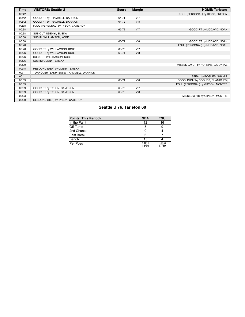| Time  | <b>VISITORS: Seattle U</b>              | <b>Score</b> | <b>Margin</b>  | <b>HOME: Tarleton</b>             |
|-------|-----------------------------------------|--------------|----------------|-----------------------------------|
| 00:42 |                                         |              |                | FOUL (PERSONAL) by HICKS, FREDDY  |
| 00:42 | GOOD! FT by TRAMMELL, DARRION           | 64-71        | V <sub>7</sub> |                                   |
| 00:42 | GOOD! FT by TRAMMELL, DARRION           | 64-72        | V8             |                                   |
| 00:38 | FOUL (PERSONAL) by TYSON, CAMERON       |              |                |                                   |
| 00:38 |                                         | 65-72        | V <sub>7</sub> | GOOD! FT by MCDAVID, NOAH         |
| 00:38 | SUB OUT: UDENYI, EMEKA                  |              |                |                                   |
| 00:38 | SUB IN: WILLIAMSON, KOBE                |              |                |                                   |
| 00:38 |                                         | 66-72        | $V_6$          | GOOD! FT by MCDAVID, NOAH         |
| 00:26 |                                         |              |                | FOUL (PERSONAL) by MCDAVID, NOAH  |
| 00:26 | GOOD! FT by WILLIAMSON, KOBE            | 66-73        | V <sub>7</sub> |                                   |
| 00:26 | GOOD! FT by WILLIAMSON, KOBE            | 66-74        | V8             |                                   |
| 00:26 | SUB OUT: WILLIAMSON, KOBE               |              |                |                                   |
| 00:26 | SUB IN: UDENYI, EMEKA                   |              |                |                                   |
| 00:20 |                                         |              |                | MISSED LAYUP by HOPKINS, JAVONTAE |
| 00:18 | REBOUND (DEF) by UDENYI, EMEKA          |              |                |                                   |
| 00:11 | TURNOVER (BADPASS) by TRAMMELL, DARRION |              |                |                                   |
| 00:11 |                                         |              |                | STEAL by BOGUES, SHAMIR           |
| 00:09 |                                         | 68-74        | $V_6$          | GOOD! DUNK by BOGUES, SHAMIR [FB] |
| 00:09 |                                         |              |                | FOUL (PERSONAL) by GIPSON, MONTRE |
| 00:09 | GOOD! FT by TYSON, CAMERON              | 68-75        | V <sub>7</sub> |                                   |
| 00:09 | GOOD! FT by TYSON, CAMERON              | 68-76        | V8             |                                   |
| 00:03 |                                         |              |                | MISSED 3PTR by GIPSON, MONTRE     |
| 00:00 | REBOUND (DEF) by TYSON, CAMERON         |              |                |                                   |

# **Seattle U 76, Tarleton 68**

| <b>Points (This Period)</b> | <b>SEA</b>     | TSU            |
|-----------------------------|----------------|----------------|
| In the Paint                | 12             | 16             |
| Off Turns                   |                |                |
| 2nd Chance                  |                |                |
| Fast Break                  | 6              |                |
| Bench                       | 15             |                |
| Per Poss                    | 1.051<br>18/39 | 0.923<br>17/39 |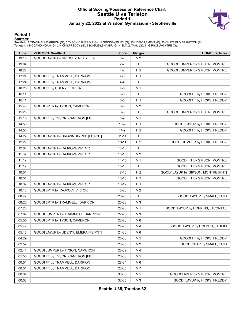#### **Official Scoring/Possession Reference Chart Seattle U vs Tarleton Period 1 January 22, 2022 at Wisdom Gymnasium - Stephenville**



#### **Period 1**

<mark>Starters:</mark><br>Seattle U: 2 TRAMMELL,DARRION (G); 5 TYSON,CAMERON (G); 11 GRIGSBY,RILEY (G); 15 UDENYI,EMEKA (F); 25 CHATFIELD,BRANDTON (F);<br>**Tarleton**: 1 MCDAVID,NOAH (G); 2 HICKS,FREDDY (G); 3 BOGUES,SHAMIR (G); 4 SMALL,TAH

| <b>Time</b> | <b>VISITORS: Seattle U</b>            | <b>Score</b> | <b>Margin</b>  | <b>HOME: Tarleton</b>               |
|-------------|---------------------------------------|--------------|----------------|-------------------------------------|
| 19:15       | GOOD! LAYUP by GRIGSBY, RILEY [FB]    | $0 - 2$      | V <sub>2</sub> |                                     |
| 19:04       |                                       | $2 - 2$      | T.             | GOOD! JUMPER by GIPSON, MONTRE      |
| 18:22       |                                       | 4-2          | H <sub>2</sub> | GOOD! JUMPER by GIPSON, MONTRE      |
| 17:24       | GOOD! FT by TRAMMELL, DARRION         | 4-3          | H <sub>1</sub> |                                     |
| 17:24       | GOOD! FT by TRAMMELL, DARRION         | 4-4          | T.             |                                     |
| 16:25       | GOOD! FT by UDENYI, EMEKA             | 4-5          | V <sub>1</sub> |                                     |
| 16:11       |                                       | $5 - 5$      | T.             | GOOD! FT by HICKS, FREDDY           |
| 16:11       |                                       | $6-5$        | H <sub>1</sub> | GOOD! FT by HICKS, FREDDY           |
| 15:46       | GOOD! 3PTR by TYSON, CAMERON          | $6 - 8$      | V <sub>2</sub> |                                     |
| 15:23       |                                       | $8 - 8$      | $\mathsf T$    | GOOD! JUMPER by GIPSON, MONTRE      |
| 15:15       | GOOD! FT by TYSON, CAMERON [FB]       | $8-9$        | V <sub>1</sub> |                                     |
| 14:56       |                                       | $10-9$       | H <sub>1</sub> | GOOD! LAYUP by HICKS, FREDDY        |
| 14:56       |                                       | $11-9$       | H <sub>2</sub> | GOOD! FT by HICKS, FREDDY           |
| 14:29       | GOOD! LAYUP by BROWN, KYREE [FB/PNT]  | $11 - 11$    | T              |                                     |
| 12:29       |                                       | $13 - 11$    | H <sub>2</sub> | GOOD! JUMPER by HICKS, FREDDY       |
| 12:04       | GOOD! LAYUP by RAJKOVI, VIKTOR        | $13 - 13$    | Τ              |                                     |
| 11:37       | GOOD! LAYUP by RAJKOVI, VIKTOR        | $13 - 15$    | V <sub>2</sub> |                                     |
| 11:12       |                                       | 14-15        | V <sub>1</sub> | GOOD! FT by GIPSON, MONTRE          |
| 11:12       |                                       | $15 - 15$    | T.             | GOOD! FT by GIPSON, MONTRE          |
| 10:51       |                                       | $17 - 15$    | H <sub>2</sub> | GOOD! LAYUP by GIPSON, MONTRE [PNT] |
| 10:51       |                                       | 18-15        | $H_3$          | GOOD! FT by GIPSON, MONTRE          |
| 10:39       | GOOD! LAYUP by RAJKOVI, VIKTOR        | 18-17        | H 1            |                                     |
| 10:18       | GOOD! 3PTR by RAJKOVI, VIKTOR         | 18-20        | V <sub>2</sub> |                                     |
| 08:47       |                                       | 20-20        | T              | GOOD! LAYUP by SMALL, TAHJ          |
| 08:20       | GOOD! 3PTR by TRAMMELL, DARRION       | 20-23        | $V_3$          |                                     |
| 07:23       |                                       | 22-23        | V <sub>1</sub> | GOOD! LAYUP by HOPKINS, JAVONTAE    |
| 07:02       | GOOD! JUMPER by TRAMMELL, DARRION     | 22-25        | $V_3$          |                                     |
| 05:55       | GOOD! 3PTR by TYSON, CAMERON          | 22-28        | $V_6$          |                                     |
| 05:42       |                                       | 24-28        | V <sub>4</sub> | GOOD! LAYUP by HOLDEN, JAHEIM       |
| 05:16       | GOOD! LAYUP by UDENYI, EMEKA [FB/PNT] | 24-30        | V6             |                                     |
| 04:29       |                                       | 25-30        | V <sub>5</sub> | GOOD! FT by HICKS, FREDDY           |
| 02:59       |                                       | 28-30        | V <sub>2</sub> | GOOD! 3PTR by SMALL, TAHJ           |
| 02:41       | GOOD! JUMPER by TYSON, CAMERON        | 28-32        | V <sub>4</sub> |                                     |
| 01:55       | GOOD! FT by TYSON, CAMERON [FB]       | 28-33        | V 5            |                                     |
| 00:51       | GOOD! FT by TRAMMELL, DARRION         | 28-34        | $V_6$          |                                     |
| 00:51       | GOOD! FT by TRAMMELL, DARRION         | 28-35        | V <sub>7</sub> |                                     |
| 00:34       |                                       | 30-35        | V <sub>5</sub> | GOOD! LAYUP by GIPSON, MONTRE       |
| 00:03       |                                       | 32-35        | $V_3$          | GOOD! LAYUP by HICKS, FREDDY        |

**Seattle U 35, Tarleton 32**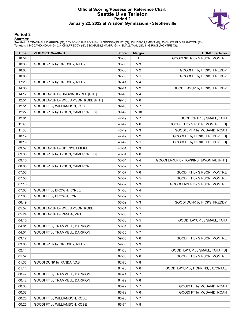#### **Official Scoring/Possession Reference Chart Seattle U vs Tarleton Period 2 January 22, 2022 at Wisdom Gymnasium - Stephenville**



### **Period 2**

<mark>Starters:</mark><br>Seattle U: 2 TRAMMELL,DARRION (G); 5 TYSON,CAMERON (G); 11 GRIGSBY,RILEY (G); 15 UDENYI,EMEKA (F); 25 CHATFIELD,BRANDTON (F);<br>**Tarleton**: 1 MCDAVID,NOAH (G); 2 HICKS,FREDDY (G); 3 BOGUES,SHAMIR (G); 4 SMALL,TAH

| <b>Time</b> | <b>VISITORS: Seattle U</b>            | <b>Score</b> | <b>Margin</b>  | <b>HOME: Tarleton</b>                  |
|-------------|---------------------------------------|--------------|----------------|----------------------------------------|
| 18:54       |                                       | 35-35        | Τ              | GOOD! 3PTR by GIPSON, MONTRE           |
| 18:33       | GOOD! 3PTR by GRIGSBY, RILEY          | 35-38        | $V_3$          |                                        |
| 18:03       |                                       | 36-38        | V <sub>2</sub> | GOOD! FT by HICKS, FREDDY              |
| 18:03       |                                       | 37-38        | V <sub>1</sub> | GOOD! FT by HICKS, FREDDY              |
| 17:20       | GOOD! 3PTR by GRIGSBY, RILEY          | $37 - 41$    | V <sub>4</sub> |                                        |
| 14:35       |                                       | 39-41        | V <sub>2</sub> | GOOD! LAYUP by HICKS, FREDDY           |
| 14:12       | GOOD! LAYUP by BROWN, KYREE [PNT]     | 39-43        | V <sub>4</sub> |                                        |
| 12:51       | GOOD! LAYUP by WILLIAMSON, KOBE [PNT] | 39-45        | $V_6$          |                                        |
| 12:51       | GOOD! FT by WILLIAMSON, KOBE          | 39-46        | V <sub>7</sub> |                                        |
| 12:27       | GOOD! 3PTR by TYSON, CAMERON [FB]     | 39-49        | $V$ 10         |                                        |
| 12:01       |                                       | 42-49        | V <sub>7</sub> | GOOD! 3PTR by SMALL, TAHJ              |
| 11:46       |                                       | 43-49        | $V_6$          | GOOD! FT by GIPSON, MONTRE [FB]        |
| 11:06       |                                       | 46-49        | $V_3$          | GOOD! 3PTR by MCDAVID, NOAH            |
| 10:19       |                                       | 47-49        | V <sub>2</sub> | GOOD! FT by HICKS, FREDDY [FB]         |
| 10:19       |                                       | 48-49        | V <sub>1</sub> | GOOD! FT by HICKS, FREDDY [FB]         |
| 09:52       | GOOD! LAYUP by UDENYI, EMEKA          | 48-51        | $V_3$          |                                        |
| 09:33       | GOOD! 3PTR by TYSON, CAMERON [FB]     | 48-54        | $V_6$          |                                        |
| 09:15       |                                       | 50-54        | V <sub>4</sub> | GOOD! LAYUP by HOPKINS, JAVONTAE [PNT] |
| 08:06       | GOOD! 3PTR by TYSON, CAMERON          | 50-57        | V <sub>7</sub> |                                        |
| 07:56       |                                       | 51-57        | $V_6$          | GOOD! FT by GIPSON, MONTRE             |
| 07:56       |                                       | 52-57        | V <sub>5</sub> | GOOD! FT by GIPSON, MONTRE             |
| 07:16       |                                       | 54-57        | $V_3$          | GOOD! LAYUP by GIPSON, MONTRE          |
| 07:03       | GOOD! FT by BROWN, KYREE              | 54-58        | V <sub>4</sub> |                                        |
| 07:03       | GOOD! FT by BROWN, KYREE              | 54-59        | V <sub>5</sub> |                                        |
| 06:49       |                                       | 56-59        | V <sub>3</sub> | GOOD! DUNK by HICKS, FREDDY            |
| 05:52       | GOOD! LAYUP by WILLIAMSON, KOBE       | 56-61        | V <sub>5</sub> |                                        |
| 05:24       | GOOD! LAYUP by PANDA, VAS             | 56-63        | V <sub>7</sub> |                                        |
| 04:15       |                                       | 58-63        | V <sub>5</sub> | GOOD! LAYUP by SMALL, TAHJ             |
| 04:01       | GOOD! FT by TRAMMELL, DARRION         | 58-64        | $V_6$          |                                        |
| 04:01       | GOOD! FT by TRAMMELL, DARRION         | 58-65        | V <sub>7</sub> |                                        |
| 03:17       |                                       | 59-65        | V6             | GOOD! FT by GIPSON, MONTRE             |
| 03:06       | GOOD! 3PTR by GRIGSBY, RILEY          | 59-68        | V <sub>9</sub> |                                        |
| 02:14       |                                       | 61-68        | V <sub>7</sub> | GOOD! LAYUP by SMALL, TAHJ [FB]        |
| 01:57       |                                       | 62-68        | V6             | GOOD! FT by GIPSON, MONTRE             |
| 01:36       | GOOD! DUNK by PANDA, VAS              | 62-70        | V8             |                                        |
| 01:14       |                                       | 64-70        | $V_6$          | GOOD! LAYUP by HOPKINS, JAVONTAE       |
| 00:42       | GOOD! FT by TRAMMELL, DARRION         | 64-71        | V <sub>7</sub> |                                        |
| 00:42       | GOOD! FT by TRAMMELL, DARRION         | 64-72        | V 8            |                                        |
| 00:38       |                                       | 65-72        | V <sub>7</sub> | GOOD! FT by MCDAVID, NOAH              |
| 00:38       |                                       | 66-72        | $V_6$          | GOOD! FT by MCDAVID, NOAH              |
| 00:26       | GOOD! FT by WILLIAMSON, KOBE          | 66-73        | V <sub>7</sub> |                                        |
| 00:26       | GOOD! FT by WILLIAMSON, KOBE          | 66-74        | V 8            |                                        |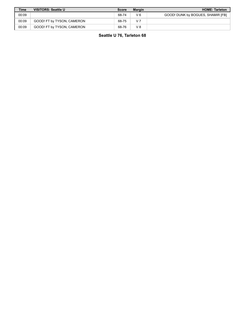| <b>Time</b> | <b>VISITORS: Seattle U</b> | <b>Score</b> | Margin         | <b>HOME: Tarleton</b>             |
|-------------|----------------------------|--------------|----------------|-----------------------------------|
| 00:09       |                            | 68-74        | V6             | GOOD! DUNK by BOGUES, SHAMIR [FB] |
| 00:09       | GOOD! FT by TYSON, CAMERON | 68-75        | V <sub>7</sub> |                                   |
| 00:09       | GOOD! FT by TYSON, CAMERON | 68-76        | V8             |                                   |

**Seattle U 76, Tarleton 68**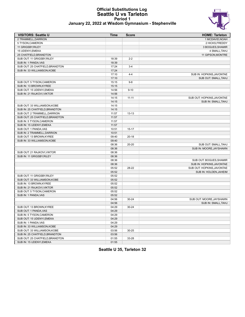#### **Official Substitutions Log Seattle U vs Tarleton Period 1 January 22, 2022 at Wisdom Gymnasium - Stephenville**



| <b>VISITORS: Seattle U</b>      | <b>Time</b>    | <b>Score</b> | <b>HOME: Tarleton</b>      |
|---------------------------------|----------------|--------------|----------------------------|
| 2 TRAMMELL.DARRION              |                |              | 1 MCDAVID, NOAH            |
| 5 TYSON, CAMERON                |                |              | 2 HICKS, FREDDY            |
| 11 GRIGSBY, RILEY               |                |              | 3 BOGUES, SHAMIR           |
| 15 UDENYI, EMEKA                |                |              | 4 SMALL, TAHJ              |
| 25 CHATFIELD, BRANDTON          |                |              | 11 GIPSON, MONTRE          |
| SUB OUT: 11 GRIGSBY, RILEY      | 18:39          | $2 - 2$      |                            |
| SUB IN: 1 PANDA, VAS            | 18:39          |              |                            |
| SUB OUT: 25 CHATFIELD, BRANDTON | 17:24          | $3 - 4$      |                            |
| SUB IN: 33 WILLIAMSON, KOBE     | 17:24          |              |                            |
|                                 | 17:10          | $4 - 4$      | SUB IN: HOPKINS, JAVONTAE  |
|                                 | 17:10          |              | SUB OUT: SMALL, TAHJ       |
| SUB OUT: 5 TYSON,CAMERON        | 15:15          | $9 - 8$      |                            |
| SUB IN: 13 BROWN, KYREE         | 15:15          |              |                            |
| SUB OUT: 15 UDENYI, EMEKA       | 14:56          | $9 - 10$     |                            |
| SUB IN: 21 RAJKOVI.VIKTOR       | 14:56          |              |                            |
|                                 | 14:15          | $11 - 11$    | SUB OUT: HOPKINS, JAVONTAE |
|                                 | 14:15          |              | SUB IN: SMALL, TAHJ        |
| SUB OUT: 33 WILLIAMSON, KOBE    | 14:15          |              |                            |
| SUB IN: 25 CHATFIELD, BRANDTON  | 14:15          |              |                            |
| SUB OUT: 2 TRAMMELL, DARRION    | 11:57          | $13 - 13$    |                            |
| SUB OUT: 25 CHATFIELD, BRANDTON | 11:57          |              |                            |
| SUB IN: 5 TYSON, CAMERON        | 11:57          |              |                            |
| SUB IN: 15 UDENYI, EMEKA        | 11:57          |              |                            |
| SUB OUT: 1 PANDA.VAS            | 10:51          | $15 - 17$    |                            |
| SUB IN: 2 TRAMMELL, DARRION     | 10:51          |              |                            |
| SUB OUT: 13 BROWN, KYREE        | 09:40          | $20 - 18$    |                            |
| SUB IN: 33 WILLIAMSON, KOBE     | 09:40          |              |                            |
|                                 | 08:36          | $20 - 20$    | SUB OUT: SMALL, TAHJ       |
|                                 | 08:36          |              | SUB IN: MOORE, JAYSHAWN    |
| SUB OUT: 21 RAJKOVI, VIKTOR     | 08:36          |              |                            |
| SUB IN: 11 GRIGSBY, RILEY       | 08:36          |              |                            |
|                                 | 08:36          |              | SUB OUT: BOGUES, SHAMIR    |
|                                 | 08:36          |              | SUB IN: HOPKINS, JAVONTAE  |
|                                 | 05:52          | 28-22        | SUB OUT: HOPKINS, JAVONTAE |
|                                 |                |              | SUB IN: HOLDEN, JAHEIM     |
|                                 | 05:52<br>05:52 |              |                            |
| Sub out: 11 Grigsby,Riley       |                |              |                            |
| SUB OUT: 33 WILLIAMSON, KOBE    | 05:52          |              |                            |
| SUB IN: 13 BROWN, KYREE         | 05:52          |              |                            |
| SUB IN: 21 RAJKOVI, VIKTOR      | 05:52          |              |                            |
| SUB OUT: 5 TYSON, CAMERON       | 05:52          |              |                            |
| SUB IN: 1 PANDA, VAS            | 05:52          |              |                            |
|                                 | 04:56          | $30 - 24$    | SUB OUT: MOORE, JAYSHAWN   |
|                                 | 04:56          |              | SUB IN: SMALL, TAHJ        |
| SUB OUT: 13 BROWN, KYREE        | 04:29          | $30 - 24$    |                            |
| SUB OUT: 1 PANDA, VAS           | 04:29          |              |                            |
| SUB IN: 5 TYSON, CAMERON        | 04:29          |              |                            |
| SUB OUT: 15 UDENYI, EMEKA       | 04:29          |              |                            |
| SUB IN: 1 PANDA, VAS            | 04:29          |              |                            |

**Seattle U 35, Tarleton 32**

SUB IN: 33 WILLIAMSON, KOBE 04:29

SUB IN: 25 CHATFIELD, BRANDTON 03:56

SUB IN: 15 UDENYI,EMEKA 01:55

SUB OUT: 33 WILLIAMSON,KOBE 03:56 30-25

SUB OUT: 25 CHATFIELD, BRANDTON 01:55 33-28